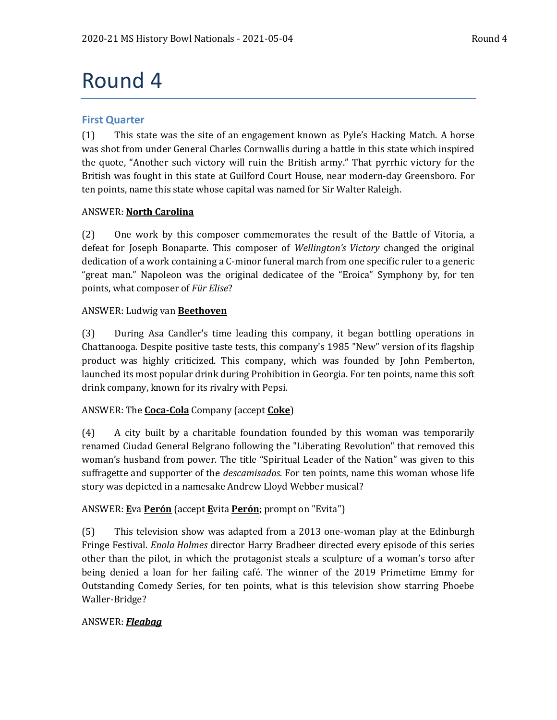# Round 4

# **First Quarter**

(1) This state was the site of an engagement known as Pyle's Hacking Match. A horse was shot from under General Charles Cornwallis during a battle in this state which inspired the quote, "Another such victory will ruin the British army." That pyrrhic victory for the British was fought in this state at Guilford Court House, near modern-day Greensboro. For ten points, name this state whose capital was named for Sir Walter Raleigh.

# ANSWER: **North Carolina**

(2) One work by this composer commemorates the result of the Battle of Vitoria, a defeat for Joseph Bonaparte. This composer of *Wellington's Victory* changed the original dedication of a work containing a C-minor funeral march from one specific ruler to a generic "great man." Napoleon was the original dedicatee of the "Eroica" Symphony by, for ten points, what composer of *Für Elise*?

# ANSWER: Ludwig van **Beethoven**

(3) During Asa Candler's time leading this company, it began bottling operations in Chattanooga. Despite positive taste tests, this company's 1985 "New" version of its flagship product was highly criticized. This company, which was founded by John Pemberton, launched its most popular drink during Prohibition in Georgia. For ten points, name this soft drink company, known for its rivalry with Pepsi.

# ANSWER: The **Coca-Cola** Company (accept **Coke**)

(4) A city built by a charitable foundation founded by this woman was temporarily renamed Ciudad General Belgrano following the "Liberating Revolution" that removed this woman's husband from power. The title "Spiritual Leader of the Nation" was given to this suffragette and supporter of the *descamisados*. For ten points, name this woman whose life story was depicted in a namesake Andrew Lloyd Webber musical?

# ANSWER: **E**va **Perón** (accept **E**vita **Perón**; prompt on "Evita")

(5) This television show was adapted from a 2013 one-woman play at the Edinburgh Fringe Festival. *Enola Holmes* director Harry Bradbeer directed every episode of this series other than the pilot, in which the protagonist steals a sculpture of a woman's torso after being denied a loan for her failing café. The winner of the 2019 Primetime Emmy for Outstanding Comedy Series, for ten points, what is this television show starring Phoebe Waller-Bridge?

# ANSWER: *Fleabag*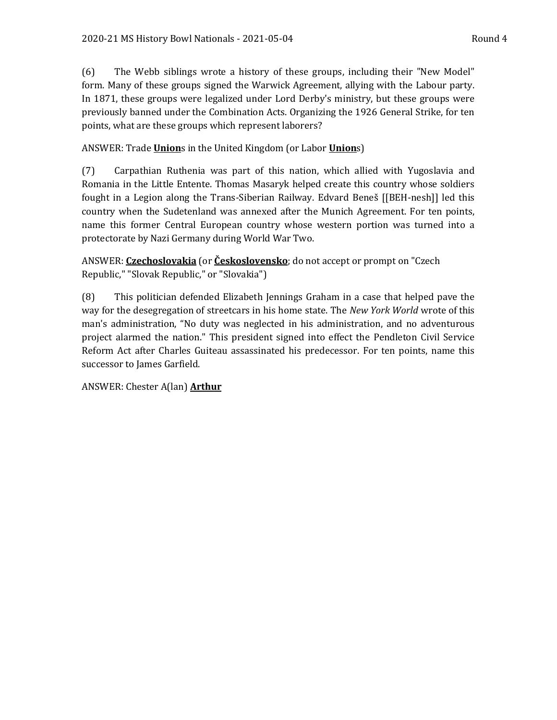(6) The Webb siblings wrote a history of these groups, including their "New Model" form. Many of these groups signed the Warwick Agreement, allying with the Labour party. In 1871, these groups were legalized under Lord Derby's ministry, but these groups were previously banned under the Combination Acts. Organizing the 1926 General Strike, for ten points, what are these groups which represent laborers?

ANSWER: Trade **Union**s in the United Kingdom (or Labor **Union**s)

(7) Carpathian Ruthenia was part of this nation, which allied with Yugoslavia and Romania in the Little Entente. Thomas Masaryk helped create this country whose soldiers fought in a Legion along the Trans-Siberian Railway. Edvard Beneš [[BEH-nesh]] led this country when the Sudetenland was annexed after the Munich Agreement. For ten points, name this former Central European country whose western portion was turned into a protectorate by Nazi Germany during World War Two.

ANSWER: **Czechoslovakia** (or **Československo**; do not accept or prompt on "Czech Republic," "Slovak Republic," or "Slovakia")

(8) This politician defended Elizabeth Jennings Graham in a case that helped pave the way for the desegregation of streetcars in his home state. The *New York World* wrote of this man's administration, "No duty was neglected in his administration, and no adventurous project alarmed the nation." This president signed into effect the Pendleton Civil Service Reform Act after Charles Guiteau assassinated his predecessor. For ten points, name this successor to James Garfield.

ANSWER: Chester A(lan) **Arthur**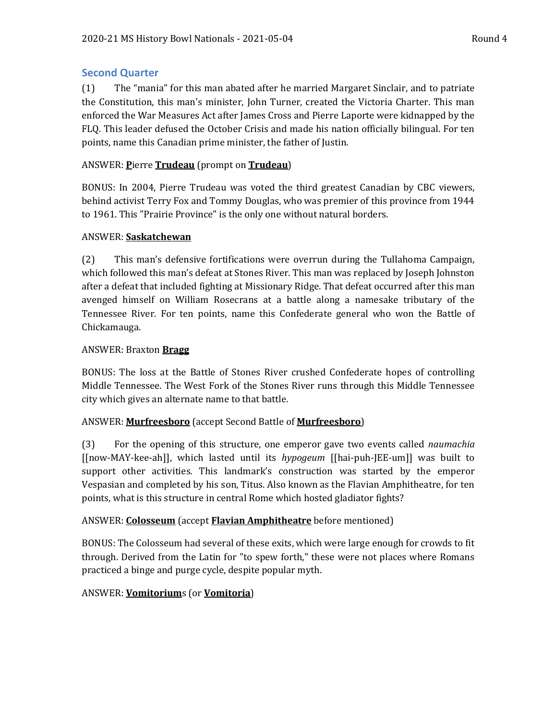# **Second Quarter**

(1) The "mania" for this man abated after he married Margaret Sinclair, and to patriate the Constitution, this man's minister, John Turner, created the Victoria Charter. This man enforced the War Measures Act after James Cross and Pierre Laporte were kidnapped by the FLQ. This leader defused the October Crisis and made his nation officially bilingual. For ten points, name this Canadian prime minister, the father of Justin.

# ANSWER: **P**ierre **Trudeau** (prompt on **Trudeau**)

BONUS: In 2004, Pierre Trudeau was voted the third greatest Canadian by CBC viewers, behind activist Terry Fox and Tommy Douglas, who was premier of this province from 1944 to 1961. This "Prairie Province" is the only one without natural borders.

# ANSWER: **Saskatchewan**

(2) This man's defensive fortifications were overrun during the Tullahoma Campaign, which followed this man's defeat at Stones River. This man was replaced by Joseph Johnston after a defeat that included fighting at Missionary Ridge. That defeat occurred after this man avenged himself on William Rosecrans at a battle along a namesake tributary of the Tennessee River. For ten points, name this Confederate general who won the Battle of Chickamauga.

# ANSWER: Braxton **Bragg**

BONUS: The loss at the Battle of Stones River crushed Confederate hopes of controlling Middle Tennessee. The West Fork of the Stones River runs through this Middle Tennessee city which gives an alternate name to that battle.

### ANSWER: **Murfreesboro** (accept Second Battle of **Murfreesboro**)

(3) For the opening of this structure, one emperor gave two events called *naumachia* [[now-MAY-kee-ah]], which lasted until its *hypogeum* [[hai-puh-JEE-um]] was built to support other activities. This landmark's construction was started by the emperor Vespasian and completed by his son, Titus. Also known as the Flavian Amphitheatre, for ten points, what is this structure in central Rome which hosted gladiator fights?

# ANSWER: **Colosseum** (accept **Flavian Amphitheatre** before mentioned)

BONUS: The Colosseum had several of these exits, which were large enough for crowds to fit through. Derived from the Latin for "to spew forth," these were not places where Romans practiced a binge and purge cycle, despite popular myth.

# ANSWER: **Vomitorium**s (or **Vomitoria**)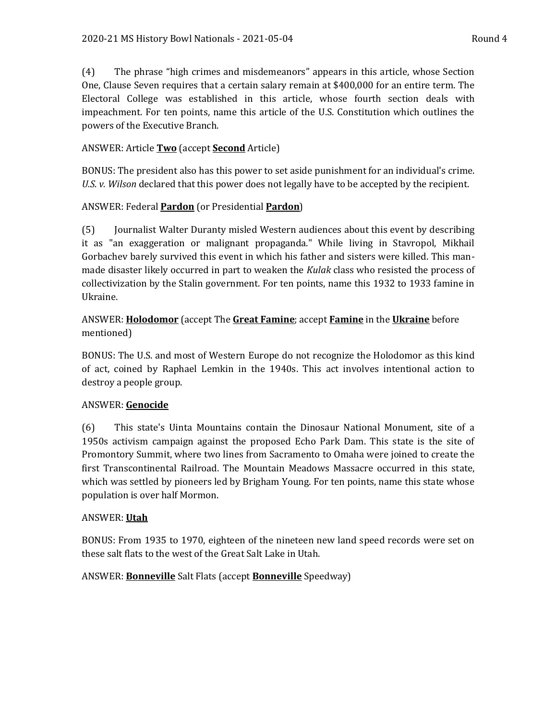(4) The phrase "high crimes and misdemeanors" appears in this article, whose Section One, Clause Seven requires that a certain salary remain at \$400,000 for an entire term. The Electoral College was established in this article, whose fourth section deals with impeachment. For ten points, name this article of the U.S. Constitution which outlines the powers of the Executive Branch.

# ANSWER: Article **Two** (accept **Second** Article)

BONUS: The president also has this power to set aside punishment for an individual's crime. *U.S. v. Wilson* declared that this power does not legally have to be accepted by the recipient.

# ANSWER: Federal **Pardon** (or Presidential **Pardon**)

(5) Journalist Walter Duranty misled Western audiences about this event by describing it as "an exaggeration or malignant propaganda." While living in Stavropol, Mikhail Gorbachev barely survived this event in which his father and sisters were killed. This manmade disaster likely occurred in part to weaken the *Kulak* class who resisted the process of collectivization by the Stalin government. For ten points, name this 1932 to 1933 famine in Ukraine.

# ANSWER: **Holodomor** (accept The **Great Famine**; accept **Famine** in the **Ukraine** before mentioned)

BONUS: The U.S. and most of Western Europe do not recognize the Holodomor as this kind of act, coined by Raphael Lemkin in the 1940s. This act involves intentional action to destroy a people group.

# ANSWER: **Genocide**

(6) This state's Uinta Mountains contain the Dinosaur National Monument, site of a 1950s activism campaign against the proposed Echo Park Dam. This state is the site of Promontory Summit, where two lines from Sacramento to Omaha were joined to create the first Transcontinental Railroad. The Mountain Meadows Massacre occurred in this state, which was settled by pioneers led by Brigham Young. For ten points, name this state whose population is over half Mormon.

# ANSWER: **Utah**

BONUS: From 1935 to 1970, eighteen of the nineteen new land speed records were set on these salt flats to the west of the Great Salt Lake in Utah.

# ANSWER: **Bonneville** Salt Flats (accept **Bonneville** Speedway)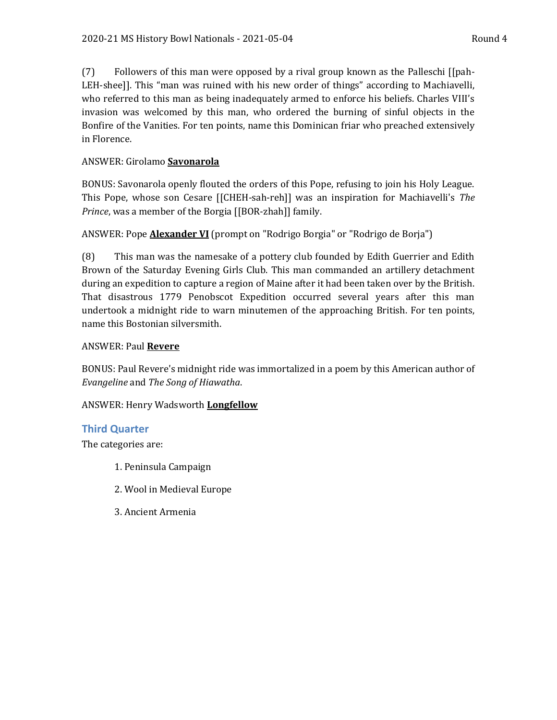(7) Followers of this man were opposed by a rival group known as the Palleschi [[pah-LEH-shee]]. This "man was ruined with his new order of things" according to Machiavelli, who referred to this man as being inadequately armed to enforce his beliefs. Charles VIII's invasion was welcomed by this man, who ordered the burning of sinful objects in the Bonfire of the Vanities. For ten points, name this Dominican friar who preached extensively in Florence.

# ANSWER: Girolamo **Savonarola**

BONUS: Savonarola openly flouted the orders of this Pope, refusing to join his Holy League. This Pope, whose son Cesare [[CHEH-sah-reh]] was an inspiration for Machiavelli's *The Prince*, was a member of the Borgia [[BOR-zhah]] family.

# ANSWER: Pope **Alexander VI** (prompt on "Rodrigo Borgia" or "Rodrigo de Borja")

(8) This man was the namesake of a pottery club founded by Edith Guerrier and Edith Brown of the Saturday Evening Girls Club. This man commanded an artillery detachment during an expedition to capture a region of Maine after it had been taken over by the British. That disastrous 1779 Penobscot Expedition occurred several years after this man undertook a midnight ride to warn minutemen of the approaching British. For ten points, name this Bostonian silversmith.

### ANSWER: Paul **Revere**

BONUS: Paul Revere's midnight ride was immortalized in a poem by this American author of *Evangeline* and *The Song of Hiawatha*.

# ANSWER: Henry Wadsworth **Longfellow**

# **Third Quarter**

The categories are:

- 1. Peninsula Campaign
- 2. Wool in Medieval Europe
- 3. Ancient Armenia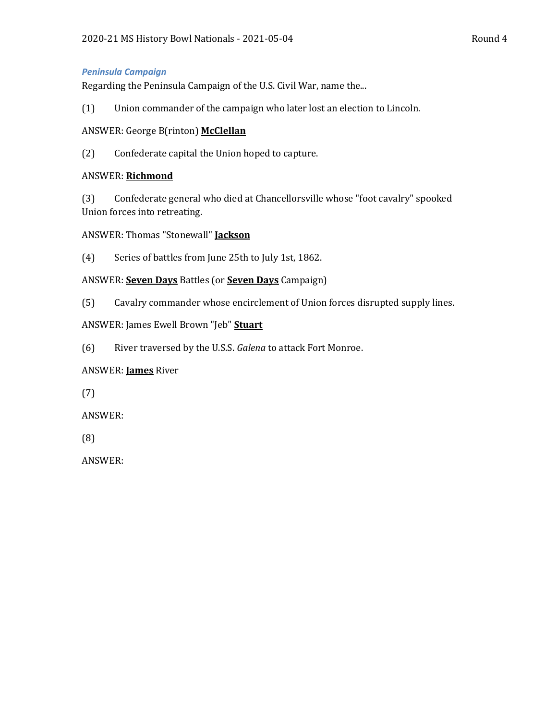#### *Peninsula Campaign*

Regarding the Peninsula Campaign of the U.S. Civil War, name the...

(1) Union commander of the campaign who later lost an election to Lincoln.

### ANSWER: George B(rinton) **McClellan**

(2) Confederate capital the Union hoped to capture.

### ANSWER: **Richmond**

(3) Confederate general who died at Chancellorsville whose "foot cavalry" spooked Union forces into retreating.

### ANSWER: Thomas "Stonewall" **Jackson**

(4) Series of battles from June 25th to July 1st, 1862.

- ANSWER: **Seven Days** Battles (or **Seven Days** Campaign)
- (5) Cavalry commander whose encirclement of Union forces disrupted supply lines.

# ANSWER: James Ewell Brown "Jeb" **Stuart**

(6) River traversed by the U.S.S. *Galena* to attack Fort Monroe.

# ANSWER: **James** River

(7)

ANSWER:

(8)

ANSWER: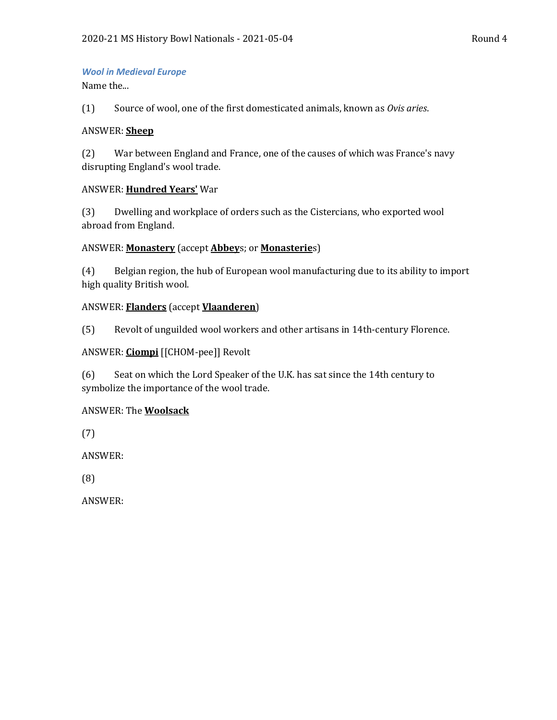#### *Wool in Medieval Europe*

Name the...

(1) Source of wool, one of the first domesticated animals, known as *Ovis aries*.

### ANSWER: **Sheep**

(2) War between England and France, one of the causes of which was France's navy disrupting England's wool trade.

### ANSWER: **Hundred Years'** War

(3) Dwelling and workplace of orders such as the Cistercians, who exported wool abroad from England.

### ANSWER: **Monastery** (accept **Abbey**s; or **Monasterie**s)

(4) Belgian region, the hub of European wool manufacturing due to its ability to import high quality British wool.

# ANSWER: **Flanders** (accept **Vlaanderen**)

(5) Revolt of unguilded wool workers and other artisans in 14th-century Florence.

# ANSWER: **Ciompi** [[CHOM-pee]] Revolt

(6) Seat on which the Lord Speaker of the U.K. has sat since the 14th century to symbolize the importance of the wool trade.

# ANSWER: The **Woolsack**

(7)

ANSWER:

(8)

ANSWER: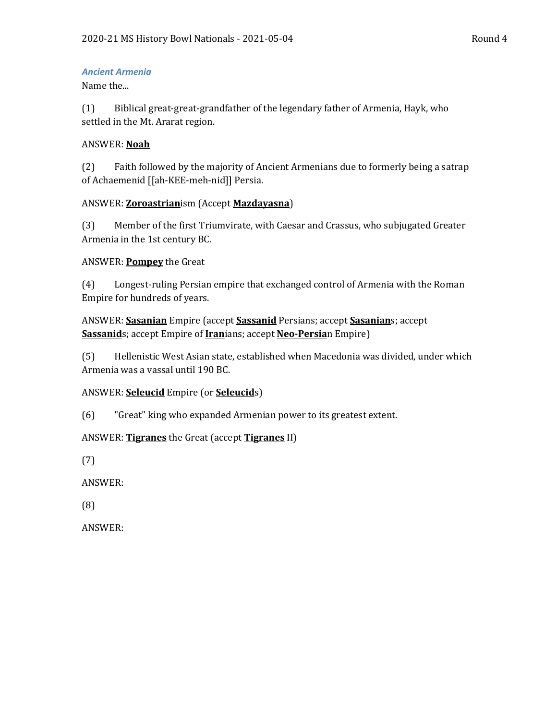### *Ancient Armenia*

Name the...

(1) Biblical great-great-grandfather of the legendary father of Armenia, Hayk, who settled in the Mt. Ararat region.

# ANSWER: **Noah**

(2) Faith followed by the majority of Ancient Armenians due to formerly being a satrap of Achaemenid [[ah-KEE-meh-nid]] Persia.

# ANSWER: **Zoroastrian**ism (Accept **Mazdayasna**)

(3) Member of the first Triumvirate, with Caesar and Crassus, who subjugated Greater Armenia in the 1st century BC.

# ANSWER: **Pompey** the Great

(4) Longest-ruling Persian empire that exchanged control of Armenia with the Roman Empire for hundreds of years.

ANSWER: **Sasanian** Empire (accept **Sassanid** Persians; accept **Sasanian**s; accept **Sassanid**s; accept Empire of **Iran**ians; accept **Neo-Persia**n Empire)

(5) Hellenistic West Asian state, established when Macedonia was divided, under which Armenia was a vassal until 190 BC.

# ANSWER: **Seleucid** Empire (or **Seleucid**s)

(6) "Great" king who expanded Armenian power to its greatest extent.

# ANSWER: **Tigranes** the Great (accept **Tigranes** II)

(7)

ANSWER:

(8)

ANSWER: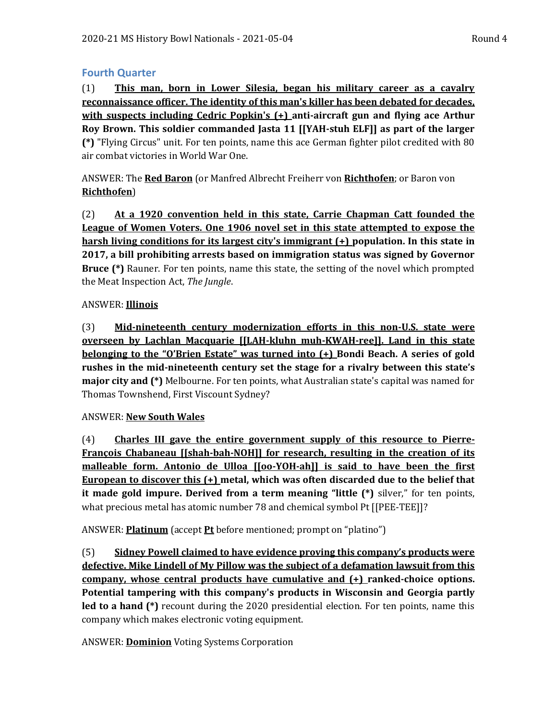# **Fourth Quarter**

(1) **This man, born in Lower Silesia, began his military career as a cavalry reconnaissance officer. The identity of this man's killer has been debated for decades, with suspects including Cedric Popkin's (+) anti-aircraft gun and flying ace Arthur Roy Brown. This soldier commanded Jasta 11 [[YAH-stuh ELF]] as part of the larger (\*)** "Flying Circus" unit. For ten points, name this ace German fighter pilot credited with 80 air combat victories in World War One.

ANSWER: The **Red Baron** (or Manfred Albrecht Freiherr von **Richthofen**; or Baron von **Richthofen**)

(2) **At a 1920 convention held in this state, Carrie Chapman Catt founded the League of Women Voters. One 1906 novel set in this state attempted to expose the harsh living conditions for its largest city's immigrant (+) population. In this state in 2017, a bill prohibiting arrests based on immigration status was signed by Governor Bruce (\*)** Rauner. For ten points, name this state, the setting of the novel which prompted the Meat Inspection Act, *The Jungle*.

# ANSWER: **Illinois**

(3) **Mid-nineteenth century modernization efforts in this non-U.S. state were overseen by Lachlan Macquarie [[LAH-kluhn muh-KWAH-ree]]. Land in this state belonging to the "O'Brien Estate" was turned into (+) Bondi Beach. A series of gold rushes in the mid-nineteenth century set the stage for a rivalry between this state's major city and (\*)** Melbourne. For ten points, what Australian state's capital was named for Thomas Townshend, First Viscount Sydney?

# ANSWER: **New South Wales**

(4) **Charles III gave the entire government supply of this resource to Pierre-François Chabaneau [[shah-bah-NOH]] for research, resulting in the creation of its malleable form. Antonio de Ulloa [[oo-YOH-ah]] is said to have been the first European to discover this (+) metal, which was often discarded due to the belief that it made gold impure. Derived from a term meaning "little (\*)** silver," for ten points, what precious metal has atomic number 78 and chemical symbol Pt [[PEE-TEE]]?

ANSWER: **Platinum** (accept **Pt** before mentioned; prompt on "platino")

(5) **Sidney Powell claimed to have evidence proving this company's products were defective. Mike Lindell of My Pillow was the subject of a defamation lawsuit from this company, whose central products have cumulative and (+) ranked-choice options. Potential tampering with this company's products in Wisconsin and Georgia partly led to a hand (\*)** recount during the 2020 presidential election. For ten points, name this company which makes electronic voting equipment.

ANSWER: **Dominion** Voting Systems Corporation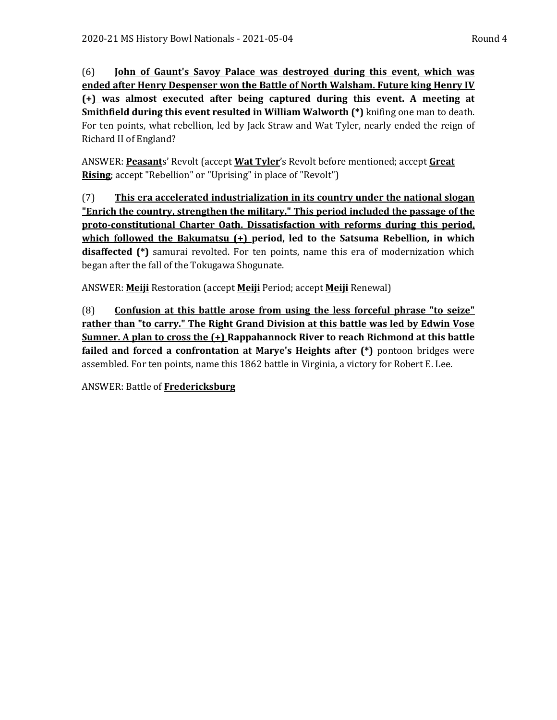(6) **John of Gaunt's Savoy Palace was destroyed during this event, which was ended after Henry Despenser won the Battle of North Walsham. Future king Henry IV (+) was almost executed after being captured during this event. A meeting at Smithfield during this event resulted in William Walworth (\*)** knifing one man to death. For ten points, what rebellion, led by Jack Straw and Wat Tyler, nearly ended the reign of Richard II of England?

ANSWER: **Peasant**s' Revolt (accept **Wat Tyler**'s Revolt before mentioned; accept **Great Rising**; accept "Rebellion" or "Uprising" in place of "Revolt")

(7) **This era accelerated industrialization in its country under the national slogan "Enrich the country, strengthen the military." This period included the passage of the proto-constitutional Charter Oath. Dissatisfaction with reforms during this period, which followed the Bakumatsu (+) period, led to the Satsuma Rebellion, in which disaffected (\*)** samurai revolted. For ten points, name this era of modernization which began after the fall of the Tokugawa Shogunate.

ANSWER: **Meiji** Restoration (accept **Meiji** Period; accept **Meiji** Renewal)

(8) **Confusion at this battle arose from using the less forceful phrase "to seize" rather than "to carry." The Right Grand Division at this battle was led by Edwin Vose Sumner. A plan to cross the (+) Rappahannock River to reach Richmond at this battle failed and forced a confrontation at Marye's Heights after (\*)** pontoon bridges were assembled. For ten points, name this 1862 battle in Virginia, a victory for Robert E. Lee.

ANSWER: Battle of **Fredericksburg**